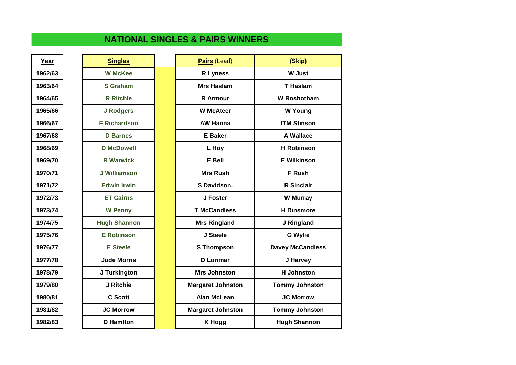## **NATIONAL SINGLES & PAIRS WINNERS**

| <b>Singles</b>      |
|---------------------|
| <b>W McKee</b>      |
| <b>S</b> Graham     |
| <b>R</b> Ritchie    |
| <b>J Rodgers</b>    |
| <b>F Richardson</b> |
| <b>D</b> Barnes     |
| <b>D</b> McDowell   |
| <b>R</b> Warwick    |
| <b>J Williamson</b> |
| <b>Edwin Irwin</b>  |
| <b>ET Cairns</b>    |
| <b>W Penny</b>      |
| <b>Hugh Shannon</b> |
| <b>E Robinson</b>   |
| <b>E</b> Steele     |
| <b>Jude Morris</b>  |
| J Turkington        |
| J Ritchie           |
| <b>C</b> Scott      |
| <b>JC Morrow</b>    |
| <b>D</b> Hamlton    |

| Year    | <b>Singles</b>      | Pairs (Lead)             | (Skip)                  |
|---------|---------------------|--------------------------|-------------------------|
| 1962/63 | <b>W McKee</b>      | <b>R</b> Lyness          | <b>W</b> Just           |
| 1963/64 | <b>S</b> Graham     | <b>Mrs Haslam</b>        | <b>T</b> Haslam         |
| 1964/65 | <b>R</b> Ritchie    | <b>R</b> Armour          | <b>W</b> Rosbotham      |
| 1965/66 | <b>J Rodgers</b>    | <b>W</b> McAteer         | <b>W</b> Young          |
| 1966/67 | <b>F Richardson</b> | <b>AW Hanna</b>          | <b>ITM Stinson</b>      |
| 1967/68 | <b>D</b> Barnes     | <b>E</b> Baker           | <b>A Wallace</b>        |
| 1968/69 | <b>D</b> McDowell   | L Hoy                    | <b>H</b> Robinson       |
| 1969/70 | <b>R</b> Warwick    | E Bell                   | <b>E Wilkinson</b>      |
| 1970/71 | <b>J Williamson</b> | <b>Mrs Rush</b>          | <b>F</b> Rush           |
| 1971/72 | <b>Edwin Irwin</b>  | S Davidson.              | <b>R</b> Sinclair       |
| 1972/73 | <b>ET Cairns</b>    | J Foster                 | <b>W</b> Murray         |
| 1973/74 | <b>W</b> Penny      | <b>T McCandless</b>      | <b>H</b> Dinsmore       |
| 1974/75 | <b>Hugh Shannon</b> | <b>Mrs Ringland</b>      | J Ringland              |
| 1975/76 | <b>E</b> Robinson   | J Steele                 | <b>G</b> Wylie          |
| 1976/77 | <b>E</b> Steele     | <b>S</b> Thompson        | <b>Davey McCandless</b> |
| 1977/78 | <b>Jude Morris</b>  | <b>D</b> Lorimar         | J Harvey                |
| 1978/79 | J Turkington        | <b>Mrs Johnston</b>      | <b>H</b> Johnston       |
| 1979/80 | J Ritchie           | <b>Margaret Johnston</b> | <b>Tommy Johnston</b>   |
| 1980/81 | <b>C</b> Scott      | <b>Alan McLean</b>       | <b>JC Morrow</b>        |
| 1981/82 | <b>JC Morrow</b>    | <b>Margaret Johnston</b> | <b>Tommy Johnston</b>   |
| 1982/83 | <b>D</b> Hamiton    | <b>K</b> Hogg            | <b>Hugh Shannon</b>     |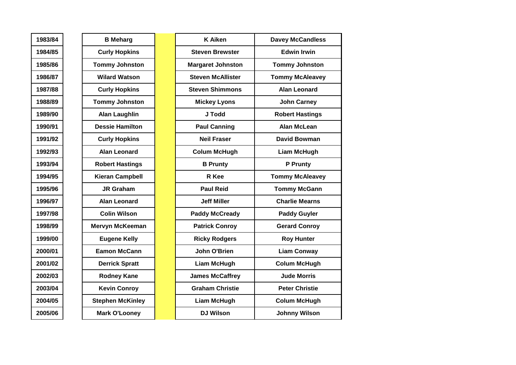| 1983/84 |
|---------|
| 1984/85 |
| 1985/86 |
| 1986/87 |
| 1987/88 |
| 1988/89 |
| 1989/90 |
| 1990/91 |
| 1991/92 |
| 1992/93 |
| 1993/94 |
| 1994/95 |
| 1995/96 |
| 1996/97 |
| 1997/98 |
| 1998/99 |
| 1999/00 |
| 2000/01 |
| 2001/02 |
| 2002/03 |
| 2003/04 |
| 2004/05 |
| 2005/06 |

| <b>B</b> Meharg         |
|-------------------------|
| <b>Curly Hopkins</b>    |
| <b>Tommy Johnston</b>   |
| <b>Wilard Watson</b>    |
| <b>Curly Hopkins</b>    |
| <b>Tommy Johnston</b>   |
| <b>Alan Laughlin</b>    |
| <b>Dessie Hamilton</b>  |
| <b>Curly Hopkins</b>    |
| <b>Alan Leonard</b>     |
| <b>Robert Hastings</b>  |
| <b>Kieran Campbell</b>  |
| <b>JR Graham</b>        |
| <b>Alan Leonard</b>     |
| <b>Colin Wilson</b>     |
| Mervyn McKeeman         |
| <b>Eugene Kelly</b>     |
| <b>Eamon McCann</b>     |
| <b>Derrick Spratt</b>   |
| <b>Rodney Kane</b>      |
| <b>Kevin Conroy</b>     |
| <b>Stephen McKinley</b> |
| <b>Mark O'Looney</b>    |

| 1983/84 | <b>B</b> Meharg         | <b>K</b> Aiken           | <b>Davey McCandless</b> |
|---------|-------------------------|--------------------------|-------------------------|
| 1984/85 | <b>Curly Hopkins</b>    | <b>Steven Brewster</b>   | <b>Edwin Irwin</b>      |
| 1985/86 | <b>Tommy Johnston</b>   | <b>Margaret Johnston</b> | <b>Tommy Johnston</b>   |
| 1986/87 | <b>Wilard Watson</b>    | <b>Steven McAllister</b> | <b>Tommy McAleavey</b>  |
| 1987/88 | <b>Curly Hopkins</b>    | <b>Steven Shimmons</b>   | <b>Alan Leonard</b>     |
| 1988/89 | <b>Tommy Johnston</b>   | <b>Mickey Lyons</b>      | <b>John Carney</b>      |
| 1989/90 | <b>Alan Laughlin</b>    | J Todd                   | <b>Robert Hastings</b>  |
| 1990/91 | <b>Dessie Hamilton</b>  | <b>Paul Canning</b>      | <b>Alan McLean</b>      |
| 1991/92 | <b>Curly Hopkins</b>    | <b>Neil Fraser</b>       | <b>David Bowman</b>     |
| 1992/93 | <b>Alan Leonard</b>     | <b>Colum McHugh</b>      | <b>Liam McHugh</b>      |
| 1993/94 | <b>Robert Hastings</b>  | <b>B</b> Prunty          | P Prunty                |
| 1994/95 | <b>Kieran Campbell</b>  | R Kee                    | <b>Tommy McAleavey</b>  |
| 1995/96 | <b>JR Graham</b>        | <b>Paul Reid</b>         | <b>Tommy McGann</b>     |
| 1996/97 | <b>Alan Leonard</b>     | <b>Jeff Miller</b>       | <b>Charlie Mearns</b>   |
| 1997/98 | <b>Colin Wilson</b>     | <b>Paddy McCready</b>    | <b>Paddy Guyler</b>     |
| 1998/99 | <b>Mervyn McKeeman</b>  | <b>Patrick Conroy</b>    | <b>Gerard Conroy</b>    |
| 1999/00 | <b>Eugene Kelly</b>     | <b>Ricky Rodgers</b>     | <b>Roy Hunter</b>       |
| 2000/01 | <b>Eamon McCann</b>     | John O'Brien             | <b>Liam Conway</b>      |
| 2001/02 | <b>Derrick Spratt</b>   | <b>Liam McHugh</b>       | <b>Colum McHugh</b>     |
| 2002/03 | <b>Rodney Kane</b>      | <b>James McCaffrey</b>   | <b>Jude Morris</b>      |
| 2003/04 | <b>Kevin Conroy</b>     | <b>Graham Christie</b>   | <b>Peter Christie</b>   |
| 2004/05 | <b>Stephen McKinley</b> | <b>Liam McHugh</b>       | <b>Colum McHugh</b>     |
| 2005/06 | <b>Mark O'Looney</b>    | <b>DJ Wilson</b>         | <b>Johnny Wilson</b>    |